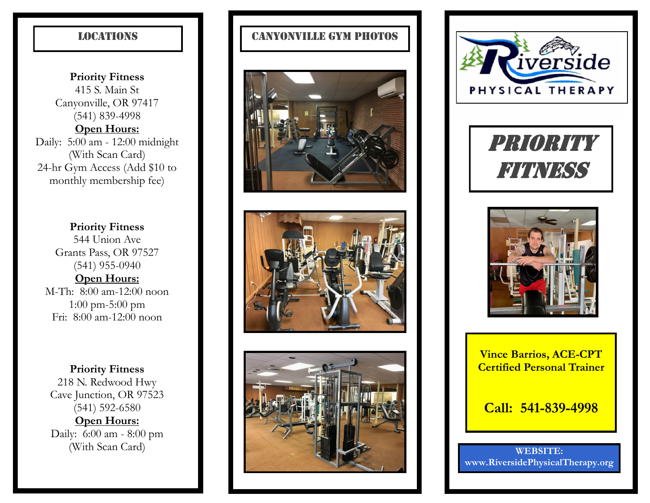**Priority Fitness** 415 S. Main St Canyonville, OR 97417 (541) 839-4998 **Open Hours:** Daily: 5:00 am - 12:00 midnight (With Scan Card) 24-hr Gym Access (Add \$10 to monthly membership fee)

**Priority Fitness** 544 Union Ave Grants Pass, OR 97527 (541) 955-0940 **Open Hours:** M-Th: 8:00 am-12:00 noon 1:00 pm-5:00 pm Fri: 8:00 am-12:00 noon

**Priority Fitness** 218 N. Redwood Hwy Cave Junction, OR 97523 (541) 592-6580 **Open Hours:** Daily: 6:00 am - 8:00 pm (With Scan Card)

# LOCATIONS **CANYONVILLE GYM PHOTOS**









PRIORITY FITNESS



**Vince Barrios, ACE-CPT Certified Personal Trainer**

**Call: 541-839-4998**

**WEBSITE: www.RiversidePhysicalTherapy.org**